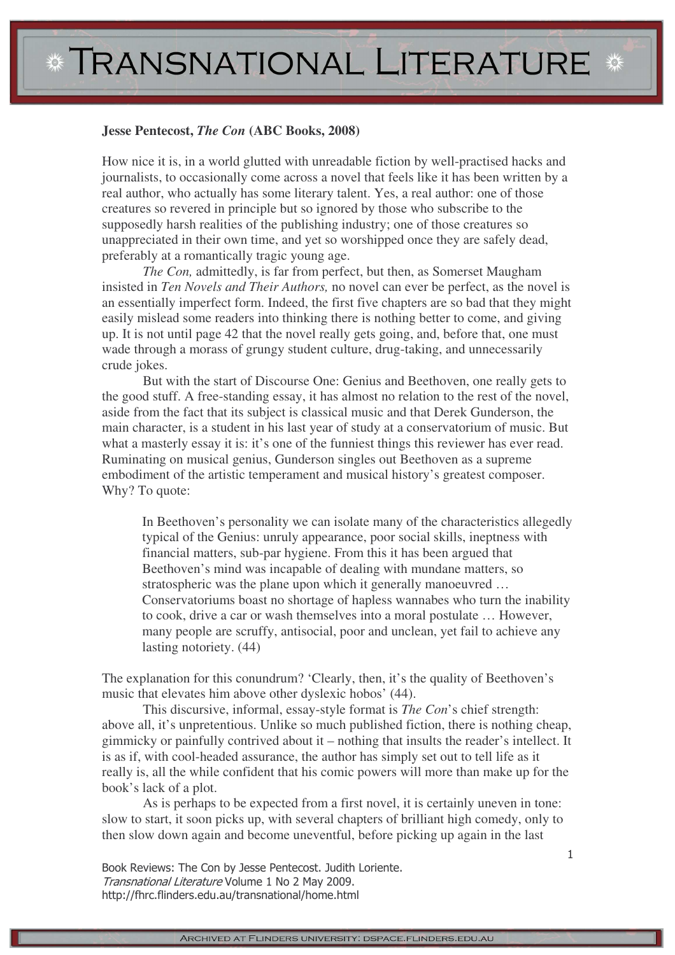## **Jesse Pentecost,** *The Con* **(ABC Books, 2008)**

How nice it is, in a world glutted with unreadable fiction by well-practised hacks and journalists, to occasionally come across a novel that feels like it has been written by a real author, who actually has some literary talent. Yes, a real author: one of those creatures so revered in principle but so ignored by those who subscribe to the supposedly harsh realities of the publishing industry; one of those creatures so unappreciated in their own time, and yet so worshipped once they are safely dead, preferably at a romantically tragic young age.

*The Con,* admittedly, is far from perfect, but then, as Somerset Maugham insisted in *Ten Novels and Their Authors,* no novel can ever be perfect, as the novel is an essentially imperfect form. Indeed, the first five chapters are so bad that they might easily mislead some readers into thinking there is nothing better to come, and giving up. It is not until page 42 that the novel really gets going, and, before that, one must wade through a morass of grungy student culture, drug-taking, and unnecessarily crude jokes.

But with the start of Discourse One: Genius and Beethoven, one really gets to the good stuff. A free-standing essay, it has almost no relation to the rest of the novel, aside from the fact that its subject is classical music and that Derek Gunderson, the main character, is a student in his last year of study at a conservatorium of music. But what a masterly essay it is: it's one of the funniest things this reviewer has ever read. Ruminating on musical genius, Gunderson singles out Beethoven as a supreme embodiment of the artistic temperament and musical history's greatest composer. Why? To quote:

In Beethoven's personality we can isolate many of the characteristics allegedly typical of the Genius: unruly appearance, poor social skills, ineptness with financial matters, sub-par hygiene. From this it has been argued that Beethoven's mind was incapable of dealing with mundane matters, so stratospheric was the plane upon which it generally manoeuvred … Conservatoriums boast no shortage of hapless wannabes who turn the inability to cook, drive a car or wash themselves into a moral postulate … However, many people are scruffy, antisocial, poor and unclean, yet fail to achieve any lasting notoriety. (44)

The explanation for this conundrum? 'Clearly, then, it's the quality of Beethoven's music that elevates him above other dyslexic hobos' (44).

This discursive, informal, essay-style format is *The Con*'s chief strength: above all, it's unpretentious. Unlike so much published fiction, there is nothing cheap, gimmicky or painfully contrived about it – nothing that insults the reader's intellect. It is as if, with cool-headed assurance, the author has simply set out to tell life as it really is, all the while confident that his comic powers will more than make up for the book's lack of a plot.

As is perhaps to be expected from a first novel, it is certainly uneven in tone: slow to start, it soon picks up, with several chapters of brilliant high comedy, only to then slow down again and become uneventful, before picking up again in the last

Book Reviews: The Con by Jesse Pentecost. Judith Loriente. Transnational Literature Volume 1 No 2 May 2009. http://fhrc.flinders.edu.au/transnational/home.html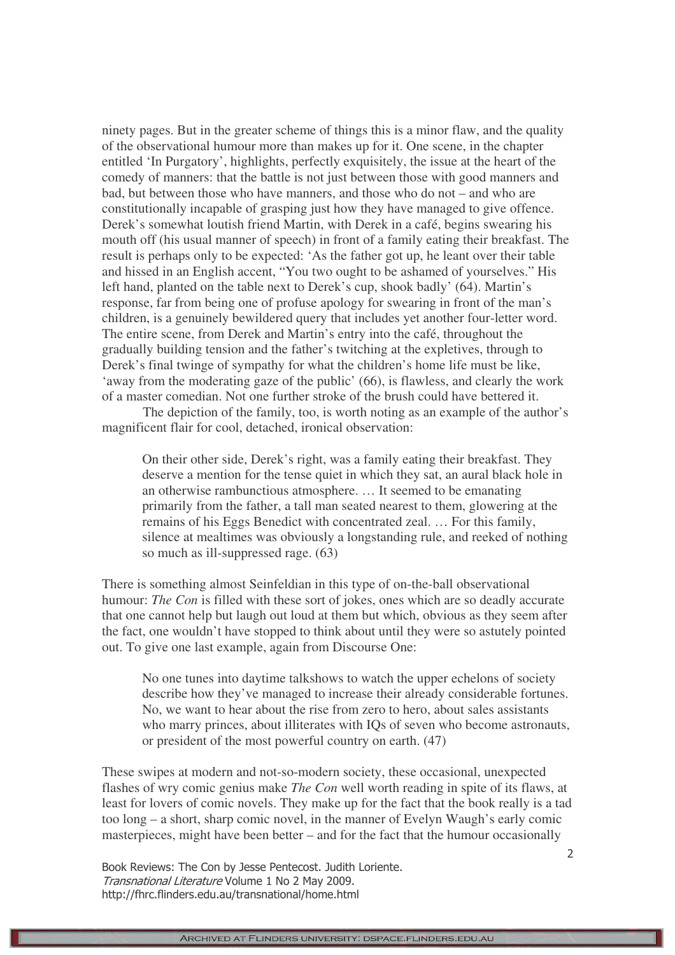ninety pages. But in the greater scheme of things this is a minor flaw, and the quality of the observational humour more than makes up for it. One scene, in the chapter entitled 'In Purgatory', highlights, perfectly exquisitely, the issue at the heart of the comedy of manners: that the battle is not just between those with good manners and bad, but between those who have manners, and those who do not – and who are constitutionally incapable of grasping just how they have managed to give offence. Derek's somewhat loutish friend Martin, with Derek in a café, begins swearing his mouth off (his usual manner of speech) in front of a family eating their breakfast. The result is perhaps only to be expected: 'As the father got up, he leant over their table and hissed in an English accent, "You two ought to be ashamed of yourselves." His left hand, planted on the table next to Derek's cup, shook badly' (64). Martin's response, far from being one of profuse apology for swearing in front of the man's children, is a genuinely bewildered query that includes yet another four-letter word. The entire scene, from Derek and Martin's entry into the café, throughout the gradually building tension and the father's twitching at the expletives, through to Derek's final twinge of sympathy for what the children's home life must be like, 'away from the moderating gaze of the public' (66), is flawless, and clearly the work of a master comedian. Not one further stroke of the brush could have bettered it.

The depiction of the family, too, is worth noting as an example of the author's magnificent flair for cool, detached, ironical observation:

On their other side, Derek's right, was a family eating their breakfast. They deserve a mention for the tense quiet in which they sat, an aural black hole in an otherwise rambunctious atmosphere. … It seemed to be emanating primarily from the father, a tall man seated nearest to them, glowering at the remains of his Eggs Benedict with concentrated zeal. … For this family, silence at mealtimes was obviously a longstanding rule, and reeked of nothing so much as ill-suppressed rage. (63)

There is something almost Seinfeldian in this type of on-the-ball observational humour: *The Con* is filled with these sort of jokes, ones which are so deadly accurate that one cannot help but laugh out loud at them but which, obvious as they seem after the fact, one wouldn't have stopped to think about until they were so astutely pointed out. To give one last example, again from Discourse One:

No one tunes into daytime talkshows to watch the upper echelons of society describe how they've managed to increase their already considerable fortunes. No, we want to hear about the rise from zero to hero, about sales assistants who marry princes, about illiterates with IQs of seven who become astronauts, or president of the most powerful country on earth. (47)

These swipes at modern and not-so-modern society, these occasional, unexpected flashes of wry comic genius make *The Con* well worth reading in spite of its flaws, at least for lovers of comic novels. They make up for the fact that the book really is a tad too long – a short, sharp comic novel, in the manner of Evelyn Waugh's early comic masterpieces, might have been better – and for the fact that the humour occasionally

Book Reviews: The Con by Jesse Pentecost. Judith Loriente. Transnational Literature Volume 1 No 2 May 2009. http://fhrc.flinders.edu.au/transnational/home.html